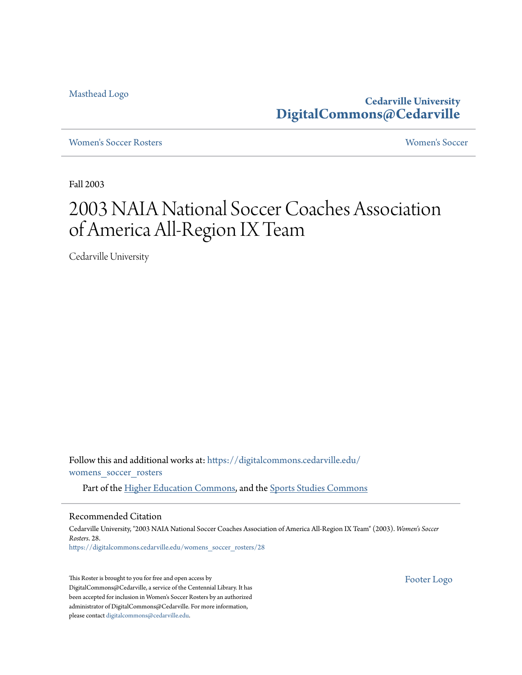[Masthead Logo](http://www.cedarville.edu/?utm_source=digitalcommons.cedarville.edu%2Fwomens_soccer_rosters%2F28&utm_medium=PDF&utm_campaign=PDFCoverPages)

**Cedarville University [DigitalCommons@Cedarville](https://digitalcommons.cedarville.edu?utm_source=digitalcommons.cedarville.edu%2Fwomens_soccer_rosters%2F28&utm_medium=PDF&utm_campaign=PDFCoverPages)**

[Women's Soccer Rosters](https://digitalcommons.cedarville.edu/womens_soccer_rosters?utm_source=digitalcommons.cedarville.edu%2Fwomens_soccer_rosters%2F28&utm_medium=PDF&utm_campaign=PDFCoverPages) [Women's Soccer](https://digitalcommons.cedarville.edu/womens_soccer?utm_source=digitalcommons.cedarville.edu%2Fwomens_soccer_rosters%2F28&utm_medium=PDF&utm_campaign=PDFCoverPages)

Fall 2003

## 2003 NAIA National Soccer Coaches Association of America All-Region IX Team

Cedarville University

Follow this and additional works at: [https://digitalcommons.cedarville.edu/](https://digitalcommons.cedarville.edu/womens_soccer_rosters?utm_source=digitalcommons.cedarville.edu%2Fwomens_soccer_rosters%2F28&utm_medium=PDF&utm_campaign=PDFCoverPages) [womens\\_soccer\\_rosters](https://digitalcommons.cedarville.edu/womens_soccer_rosters?utm_source=digitalcommons.cedarville.edu%2Fwomens_soccer_rosters%2F28&utm_medium=PDF&utm_campaign=PDFCoverPages)

Part of the [Higher Education Commons](http://network.bepress.com/hgg/discipline/1245?utm_source=digitalcommons.cedarville.edu%2Fwomens_soccer_rosters%2F28&utm_medium=PDF&utm_campaign=PDFCoverPages), and the [Sports Studies Commons](http://network.bepress.com/hgg/discipline/1198?utm_source=digitalcommons.cedarville.edu%2Fwomens_soccer_rosters%2F28&utm_medium=PDF&utm_campaign=PDFCoverPages)

## Recommended Citation

Cedarville University, "2003 NAIA National Soccer Coaches Association of America All-Region IX Team" (2003). *Women's Soccer Rosters*. 28. [https://digitalcommons.cedarville.edu/womens\\_soccer\\_rosters/28](https://digitalcommons.cedarville.edu/womens_soccer_rosters/28?utm_source=digitalcommons.cedarville.edu%2Fwomens_soccer_rosters%2F28&utm_medium=PDF&utm_campaign=PDFCoverPages)

This Roster is brought to you for free and open access by DigitalCommons@Cedarville, a service of the Centennial Library. It has been accepted for inclusion in Women's Soccer Rosters by an authorized administrator of DigitalCommons@Cedarville. For more information, please contact [digitalcommons@cedarville.edu.](mailto:digitalcommons@cedarville.edu)

[Footer Logo](http://www.cedarville.edu/Academics/Library.aspx?utm_source=digitalcommons.cedarville.edu%2Fwomens_soccer_rosters%2F28&utm_medium=PDF&utm_campaign=PDFCoverPages)